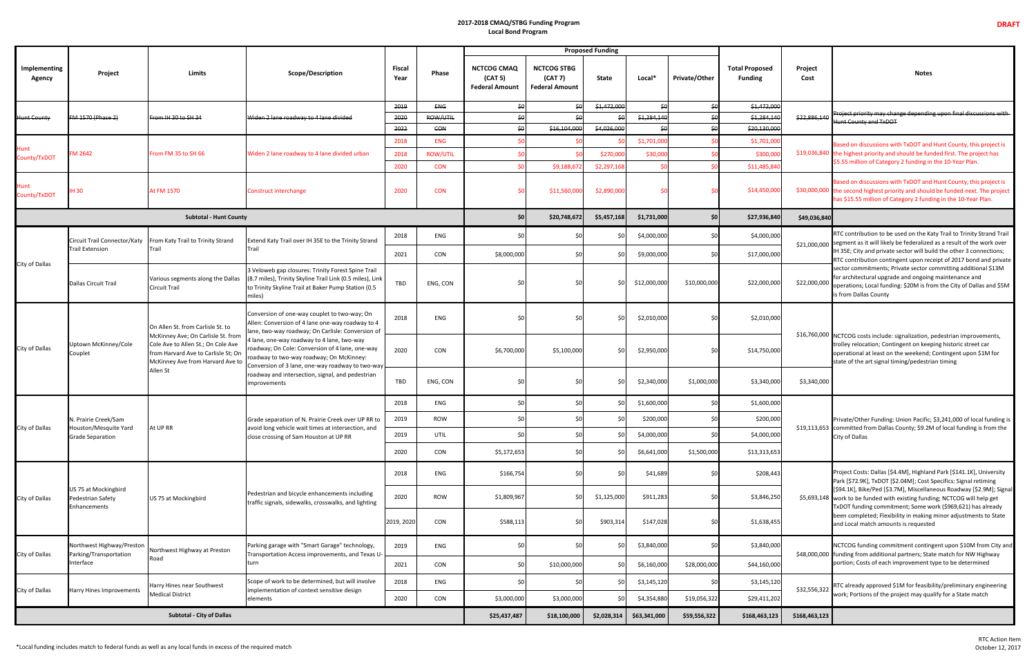## **2017-2018 CMAQ/STBG Funding Program Local Bond Program**

|                               |                                                                   |                                                                                                                                                                                                      |                                                                                                                                                                                                                                                                                                                                                                                                                          |                       |                 |                                                        |                                                        | <b>Proposed Funding</b> |                 |               |                                         |                 |                                                                                                                                                                                                                                                                                                                                                                                                                                                                                                                                     |
|-------------------------------|-------------------------------------------------------------------|------------------------------------------------------------------------------------------------------------------------------------------------------------------------------------------------------|--------------------------------------------------------------------------------------------------------------------------------------------------------------------------------------------------------------------------------------------------------------------------------------------------------------------------------------------------------------------------------------------------------------------------|-----------------------|-----------------|--------------------------------------------------------|--------------------------------------------------------|-------------------------|-----------------|---------------|-----------------------------------------|-----------------|-------------------------------------------------------------------------------------------------------------------------------------------------------------------------------------------------------------------------------------------------------------------------------------------------------------------------------------------------------------------------------------------------------------------------------------------------------------------------------------------------------------------------------------|
| <b>Implementing</b><br>Agency | Project                                                           | Limits                                                                                                                                                                                               | <b>Scope/Description</b>                                                                                                                                                                                                                                                                                                                                                                                                 | <b>Fiscal</b><br>Year | Phase           | <b>NCTCOG CMAQ</b><br>(CAT 5)<br><b>Federal Amount</b> | <b>NCTCOG STBG</b><br>(CAT 7)<br><b>Federal Amount</b> | State                   | Local*          | Private/Other | <b>Total Proposed</b><br><b>Funding</b> | Project<br>Cost | <b>Notes</b>                                                                                                                                                                                                                                                                                                                                                                                                                                                                                                                        |
| <del>-lunt County</del>       | FM 1570 (Phase 2)                                                 | From IH 30 to SH 34                                                                                                                                                                                  | Widen 2 lane roadway to 4 lane divided                                                                                                                                                                                                                                                                                                                                                                                   | 2019                  | ENG             | \$0                                                    |                                                        | \$1,472,000             | $$ \theta$      | \$0           | \$1,472,000                             |                 | Project priority may change depending upon final discussions with<br>Hunt County and TxDOT                                                                                                                                                                                                                                                                                                                                                                                                                                          |
|                               |                                                                   |                                                                                                                                                                                                      |                                                                                                                                                                                                                                                                                                                                                                                                                          | <del>2020</del>       | ROW/UTIL        | $\frac{1}{2}$                                          |                                                        | \$Ω                     | \$1,284,140     | \$6           | \$1,284,14                              | \$22,886,140    |                                                                                                                                                                                                                                                                                                                                                                                                                                                                                                                                     |
|                               |                                                                   |                                                                                                                                                                                                      |                                                                                                                                                                                                                                                                                                                                                                                                                          | 2022                  | CON             | $\frac{1}{2}$                                          | \$16,104,000                                           | \$4,026,000             | $$ \theta$      | \$£           | \$20,130,000                            |                 |                                                                                                                                                                                                                                                                                                                                                                                                                                                                                                                                     |
| Hunt<br>County/TxDOT          | M 2642                                                            | From FM 35 to SH 66                                                                                                                                                                                  | Widen 2 lane roadway to 4 lane divided urban                                                                                                                                                                                                                                                                                                                                                                             | 2018                  | <b>ENG</b>      |                                                        |                                                        |                         | \$1,701,000     |               | \$1,701,00                              |                 | Based on discussions with TxDOT and Hunt County, this project is<br>\$19,036,840 the highest priority and should be funded first. The project has<br>\$5.55 million of Category 2 funding in the 10-Year Plan.                                                                                                                                                                                                                                                                                                                      |
|                               |                                                                   |                                                                                                                                                                                                      |                                                                                                                                                                                                                                                                                                                                                                                                                          | 2018                  | <b>ROW/UTIL</b> |                                                        |                                                        | \$270,00                | \$30,000        |               | \$300,00                                |                 |                                                                                                                                                                                                                                                                                                                                                                                                                                                                                                                                     |
|                               |                                                                   |                                                                                                                                                                                                      |                                                                                                                                                                                                                                                                                                                                                                                                                          | 2020                  | <b>CON</b>      |                                                        | \$9,188,67                                             | \$2,297,168             | SO <sub>2</sub> |               | \$11,485,84                             |                 |                                                                                                                                                                                                                                                                                                                                                                                                                                                                                                                                     |
| Hunt<br>County/TxDOT          | <b>IH30</b>                                                       | At FM 1570                                                                                                                                                                                           | <b>Construct interchange</b>                                                                                                                                                                                                                                                                                                                                                                                             | 2020                  | <b>CON</b>      |                                                        | \$11,560,000                                           | \$2,890,00              |                 |               | \$14,450,00                             |                 | Based on discussions with TxDOT and Hunt County, this project is<br>\$30,000,000 the second highest priority and should be funded next. The project<br>has \$15.55 million of Category 2 funding in the 10-Year Plan.                                                                                                                                                                                                                                                                                                               |
|                               |                                                                   | \$0                                                                                                                                                                                                  | \$20,748,672                                                                                                                                                                                                                                                                                                                                                                                                             | \$5,457,168           | \$1,731,000     | \$0                                                    | \$27,936,840                                           | \$49,036,840            |                 |               |                                         |                 |                                                                                                                                                                                                                                                                                                                                                                                                                                                                                                                                     |
|                               | Circuit Trail Connector/Katy<br><b>Trail Extension</b>            | From Katy Trail to Trinity Strand<br>Trail                                                                                                                                                           | Extend Katy Trail over IH 35E to the Trinity Strand<br>Trail                                                                                                                                                                                                                                                                                                                                                             | 2018                  | ENG             |                                                        | \$C                                                    |                         | \$4,000,000     | \$0           | \$4,000,000                             | \$22,000,000    | RTC contribution to be used on the Katy Trail to Trinity Strand Trail<br>\$21,000,000 segment as it will likely be federalized as a result of the work over<br>IH 35E; City and private sector will build the other 3 connections;<br>RTC contribution contingent upon receipt of 2017 bond and private<br>sector commitments; Private sector committing additional \$13M<br>for architectural upgrade and ongoing maintenance and<br>operations; Local funding: \$20M is from the City of Dallas and \$5M<br>is from Dallas County |
|                               |                                                                   |                                                                                                                                                                                                      |                                                                                                                                                                                                                                                                                                                                                                                                                          | 2021                  | CON             | \$8,000,000                                            | \$0                                                    |                         | \$9,000,000     | \$0           | \$17,000,000                            |                 |                                                                                                                                                                                                                                                                                                                                                                                                                                                                                                                                     |
| City of Dallas                | Dallas Circuit Trail                                              | Various segments along the Dallas<br><b>Circuit Trail</b>                                                                                                                                            | 3 Veloweb gap closures: Trinity Forest Spine Trail<br>(8.7 miles), Trinity Skyline Trail Link (0.5 miles), Link<br>to Trinity Skyline Trail at Baker Pump Station (0.5<br>miles)                                                                                                                                                                                                                                         | TBD                   | ENG, CON        |                                                        | \$0                                                    |                         | \$12,000,000    | \$10,000,000  | \$22,000,000                            |                 |                                                                                                                                                                                                                                                                                                                                                                                                                                                                                                                                     |
| City of Dallas                | Uptown McKinney/Cole<br>Couplet                                   | On Allen St. from Carlisle St. to<br>McKinney Ave; On Carlisle St. from<br>Cole Ave to Allen St.; On Cole Ave<br>from Harvard Ave to Carlisle St; On<br>McKinney Ave from Harvard Ave to<br>Allen St | Conversion of one-way couplet to two-way; On<br>Allen: Conversion of 4 lane one-way roadway to 4<br>lane, two-way roadway; On Carlisle: Conversion of<br>lane, one-way roadway to 4 lane, two-way<br>roadway; On Cole: Conversion of 4 lane, one-way<br>roadway to two-way roadway; On McKinney:<br>Conversion of 3 lane, one-way roadway to two-way<br>roadway and intersection, signal, and pedestrian<br>improvements | 2018                  | ENG             |                                                        | \$0                                                    |                         | \$2,010,000     |               | \$2,010,000                             |                 | \$16,760,000 NCTCOG costs include: signalization, pedestrian improvements,<br>trolley relocation; Contingent on keeping historic street car<br>operational at least on the weekend; Contingent upon \$1M for<br>state of the art signal timing/pedestrian timing                                                                                                                                                                                                                                                                    |
|                               |                                                                   |                                                                                                                                                                                                      |                                                                                                                                                                                                                                                                                                                                                                                                                          | 2020                  | CON             | \$6,700,000                                            | \$5,100,000                                            |                         | \$2,950,000     |               | \$14,750,000                            |                 |                                                                                                                                                                                                                                                                                                                                                                                                                                                                                                                                     |
|                               |                                                                   |                                                                                                                                                                                                      |                                                                                                                                                                                                                                                                                                                                                                                                                          | TBD                   | ENG, CON        |                                                        | \$0                                                    |                         | \$2,340,000     | \$1,000,000   | \$3,340,000                             | \$3,340,000     |                                                                                                                                                                                                                                                                                                                                                                                                                                                                                                                                     |
|                               | N. Prairie Creek/Sam<br>Houston/Mesquite Yard<br>Grade Separation | At UP RR                                                                                                                                                                                             | Grade separation of N. Prairie Creek over UP RR to<br>avoid long vehicle wait times at intersection, and<br>close crossing of Sam Houston at UP RR                                                                                                                                                                                                                                                                       | 2018                  | ENG             | 50                                                     | \$0                                                    | \$0                     | \$1,600,000     | \$C           | \$1,600,000                             |                 | Private/Other Funding: Union Pacific; \$3,241,000 of local funding is<br>\$19,113,653 committed from Dallas County; \$9.2M of local funding is from the<br>City of Dallas                                                                                                                                                                                                                                                                                                                                                           |
|                               |                                                                   |                                                                                                                                                                                                      |                                                                                                                                                                                                                                                                                                                                                                                                                          | 2019                  | ROW             | \$0                                                    | \$0                                                    | \$0                     | \$200,000       | \$C           | \$200,000                               |                 |                                                                                                                                                                                                                                                                                                                                                                                                                                                                                                                                     |
| City of Dallas                |                                                                   |                                                                                                                                                                                                      |                                                                                                                                                                                                                                                                                                                                                                                                                          | 2019                  | UTIL            | SO                                                     | \$0                                                    | \$0                     | \$4,000,000     | \$C           | \$4,000,000                             |                 |                                                                                                                                                                                                                                                                                                                                                                                                                                                                                                                                     |
|                               |                                                                   |                                                                                                                                                                                                      |                                                                                                                                                                                                                                                                                                                                                                                                                          | 2020                  | CON             | \$5,172,653                                            | \$0                                                    |                         | \$6,641,000     | \$1,500,000   | \$13,313,653                            |                 |                                                                                                                                                                                                                                                                                                                                                                                                                                                                                                                                     |
| City of Dallas                | US 75 at Mockingbird<br>Pedestrian Safety<br>Enhancements         | US 75 at Mockingbird                                                                                                                                                                                 | Pedestrian and bicycle enhancements including<br>traffic signals, sidewalks, crosswalks, and lighting                                                                                                                                                                                                                                                                                                                    | 2018                  | ENG             | \$166,754                                              | \$0                                                    | \$0                     | \$41,689        | \$0           | \$208,443                               |                 | Project Costs: Dallas [\$4.4M], Highland Park [\$141.1K], University<br>Park [\$72.9K], TxDOT [\$2.04M]; Cost Specifics: Signal retiming<br>[\$94.1K], Bike/Ped [\$3.7M], Miscellaneous Roadway [\$2.9M]; Signal<br>\$5,693,148 work to be funded with existing funding; NCTCOG will help get<br>TxDOT funding commitment; Some work (\$969,621) has already<br>been completed; Flexibility in making minor adjustments to State<br>and Local match amounts is requested                                                            |
|                               |                                                                   |                                                                                                                                                                                                      |                                                                                                                                                                                                                                                                                                                                                                                                                          | 2020                  | ROW             | \$1,809,967                                            | \$0                                                    | \$1,125,000             | \$911,283       | \$C           | \$3,846,250                             |                 |                                                                                                                                                                                                                                                                                                                                                                                                                                                                                                                                     |
|                               |                                                                   |                                                                                                                                                                                                      |                                                                                                                                                                                                                                                                                                                                                                                                                          | 2019, 2020            | CON             | \$588,113                                              | \$0                                                    | \$903,314               | \$147,028       | \$0           | \$1,638,455                             |                 |                                                                                                                                                                                                                                                                                                                                                                                                                                                                                                                                     |
| City of Dallas                | Northwest Highway/Preston<br>Parking/Transportation<br>Interface  | Northwest Highway at Preston<br>Road                                                                                                                                                                 | Parking garage with "Smart Garage" technology,<br>Transportation Access improvements, and Texas U-<br>turn                                                                                                                                                                                                                                                                                                               | 2019                  | ENG             | \$0                                                    | \$0                                                    | \$0                     | \$3,840,000     | \$0           | \$3,840,000                             |                 | NCTCOG funding commitment contingent upon \$10M from City and<br>\$48,000,000 funding from additional partners; State match for NW Highway<br>portion; Costs of each improvement type to be determined                                                                                                                                                                                                                                                                                                                              |
|                               |                                                                   |                                                                                                                                                                                                      |                                                                                                                                                                                                                                                                                                                                                                                                                          | 2021                  | CON             | \$0                                                    | \$10,000,000                                           | \$0                     | \$6,160,000     | \$28,000,000  | \$44,160,000                            |                 |                                                                                                                                                                                                                                                                                                                                                                                                                                                                                                                                     |
| City of Dallas                | Harry Hines Improvements                                          | Harry Hines near Southwest<br><b>Medical District</b>                                                                                                                                                | Scope of work to be determined, but will involve<br>implementation of context sensitive design<br>elements                                                                                                                                                                                                                                                                                                               | 2018                  | ENG             | \$0                                                    | \$0                                                    | \$0                     | \$3,145,120     | \$C           | \$3,145,120                             | \$32,556,322    | RTC already approved \$1M for feasibility/preliminary engineering<br>work; Portions of the project may qualify for a State match                                                                                                                                                                                                                                                                                                                                                                                                    |
|                               |                                                                   |                                                                                                                                                                                                      |                                                                                                                                                                                                                                                                                                                                                                                                                          | 2020                  | CON             | \$3,000,000                                            | \$3,000,000                                            | ŚC                      | \$4,354,880     | \$19,056,322  | \$29,411,202                            |                 |                                                                                                                                                                                                                                                                                                                                                                                                                                                                                                                                     |
| Subtotal - City of Dallas     |                                                                   |                                                                                                                                                                                                      |                                                                                                                                                                                                                                                                                                                                                                                                                          |                       |                 |                                                        | \$18,100,000                                           | \$2,028,314             | \$63,341,000    | \$59,556,322  | \$168,463,123                           | \$168,463,123   |                                                                                                                                                                                                                                                                                                                                                                                                                                                                                                                                     |